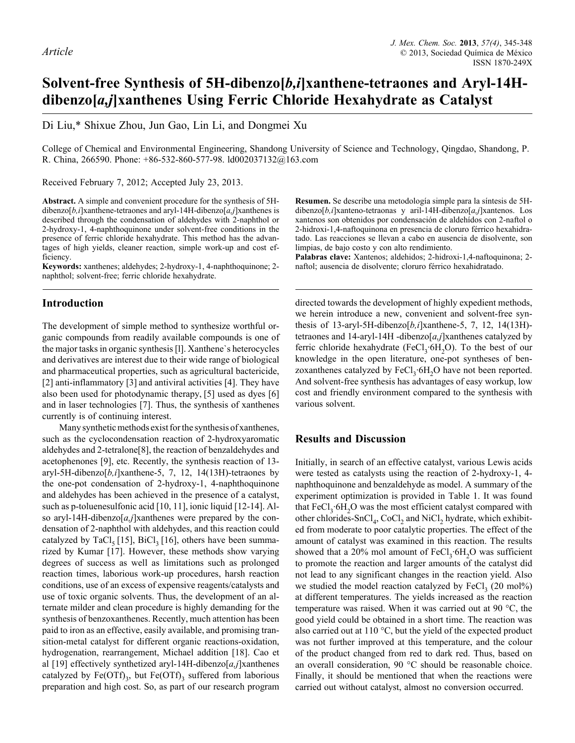# **Solvent-free Synthesis of 5H-dibenzo[***b,i***]xanthene-tetraones and Aryl-14Hdibenzo[***a,j***]xanthenes Using Ferric Chloride Hexahydrate as Catalyst**

Di Liu,\* Shixue Zhou, Jun Gao, Lin Li, and Dongmei Xu

College of Chemical and Environmental Engineering, Shandong University of Science and Technology, Qingdao, Shandong, P. R. China, 266590. Phone: +86-532-860-577-98. ld002037132@163.com

Received February 7, 2012; Accepted July 23, 2013.

**Abstract.** A simple and convenient procedure for the synthesis of 5Hdibenzo[*b,i*]xanthene-tetraones and aryl-14H-dibenzo[*a,j*]xanthenes is described through the condensation of aldehydes with 2-naphthol or 2-hydroxy-1, 4-naphthoquinone under solvent-free conditions in the presence of ferric chloride hexahydrate. This method has the advantages of high yields, cleaner reaction, simple work-up and cost efficiency.

**Keywords:** xanthenes; aldehydes; 2-hydroxy-1, 4-naphthoquinone; 2 naphthol; solvent-free; ferric chloride hexahydrate.

## **Introduction**

The development of simple method to synthesize worthful organic compounds from readily available compounds is one of the major tasks in organic synthesis [l]. Xanthene`s heterocycles and derivatives are interest due to their wide range of biological and pharmaceutical properties, such as agricultural bactericide, [2] anti-inflammatory [3] and antiviral activities [4]. They have also been used for photodynamic therapy, [5] used as dyes [6] and in laser technologies [7]. Thus, the synthesis of xanthenes currently is of continuing interest.

Many synthetic methods exist for the synthesis of xanthenes, such as the cyclocondensation reaction of 2-hydroxyaromatic aldehydes and 2-tetralone[8], the reaction of benzaldehydes and acetophenones [9], etc. Recently, the synthesis reaction of 13 aryl-5H-dibenzo[*b,i*]xanthene-5, 7, 12, 14(13H)-tetraones by the one-pot condensation of 2-hydroxy-1, 4-naphthoquinone and aldehydes has been achieved in the presence of a catalyst, such as p-toluenesulfonic acid [10, 11], ionic liquid [12-14]. Also aryl-14H-dibenzo[*a,j*]xanthenes were prepared by the condensation of 2-naphthol with aldehydes, and this reaction could catalyzed by TaCl<sub>5</sub> [15], BiCl<sub>3</sub> [16], others have been summarized by Kumar [17]. However, these methods show varying degrees of success as well as limitations such as prolonged reaction times, laborious work-up procedures, harsh reaction conditions, use of an excess of expensive reagents/catalysts and use of toxic organic solvents. Thus, the development of an alternate milder and clean procedure is highly demanding for the synthesis of benzoxanthenes. Recently, much attention has been paid to iron as an effective, easily available, and promising transition-metal catalyst for different organic reactions-oxidation, hydrogenation, rearrangement, Michael addition [18]. Cao et al [19] effectively synthetized aryl-14H-dibenzo[*a,j*]xanthenes catalyzed by Fe(OTf)<sub>3</sub>, but Fe(OTf)<sub>3</sub> suffered from laborious preparation and high cost. So, as part of our research program

**Resumen.** Se describe una metodología simple para la síntesis de 5Hdibenzo[*b,i*]xanteno-tetraonas y aril-14H-dibenzo[*a,j*]xantenos. Los xantenos son obtenidos por condensación de aldehídos con 2-naftol o 2-hidroxi-1,4-naftoquinona en presencia de cloruro férrico hexahidratado. Las reacciones se llevan a cabo en ausencia de disolvente, son limpias, de bajo costo y con alto rendimiento.

**Palabras clave:** Xantenos; aldehidos; 2-hidroxi-1,4-naftoquinona; 2 naftol; ausencia de disolvente; cloruro férrico hexahidratado.

directed towards the development of highly expedient methods, we herein introduce a new, convenient and solvent-free synthesis of 13-aryl-5H-dibenzo[*b,i*]xanthene-5, 7, 12, 14(13H) tetraones and 14-aryl-14H -dibenzo[*a,j*]xanthenes catalyzed by ferric chloride hexahydrate (FeCl<sub>3</sub>·6H<sub>2</sub>O). To the best of our knowledge in the open literature, one-pot syntheses of benzoxanthenes catalyzed by  $FeCl<sub>3</sub>·6H<sub>3</sub>O$  have not been reported. And solvent-free synthesis has advantages of easy workup, low cost and friendly environment compared to the synthesis with various solvent.

## **Results and Discussion**

Initially, in search of an effective catalyst, various Lewis acids were tested as catalysts using the reaction of 2-hydroxy-1, 4 naphthoquinone and benzaldehyde as model. A summary of the experiment optimization is provided in Table 1. It was found that  $FeCl<sub>3</sub>·6H<sub>2</sub>O$  was the most efficient catalyst compared with other chlorides-SnCl<sub>4</sub>, CoCl<sub>2</sub> and NiCl<sub>2</sub> hydrate, which exhibited from moderate to poor catalytic properties. The effect of the amount of catalyst was examined in this reaction. The results showed that a 20% mol amount of  $FeCl<sub>3</sub>·6H<sub>2</sub>O$  was sufficient to promote the reaction and larger amounts of the catalyst did not lead to any significant changes in the reaction yield. Also we studied the model reaction catalyzed by  $FeCl<sub>3</sub>$  (20 mol%) at different temperatures. The yields increased as the reaction temperature was raised. When it was carried out at 90 °C, the good yield could be obtained in a short time. The reaction was also carried out at 110 °C, but the yield of the expected product was not further improved at this temperature, and the colour of the product changed from red to dark red. Thus, based on an overall consideration, 90 °C should be reasonable choice. Finally, it should be mentioned that when the reactions were carried out without catalyst, almost no conversion occurred.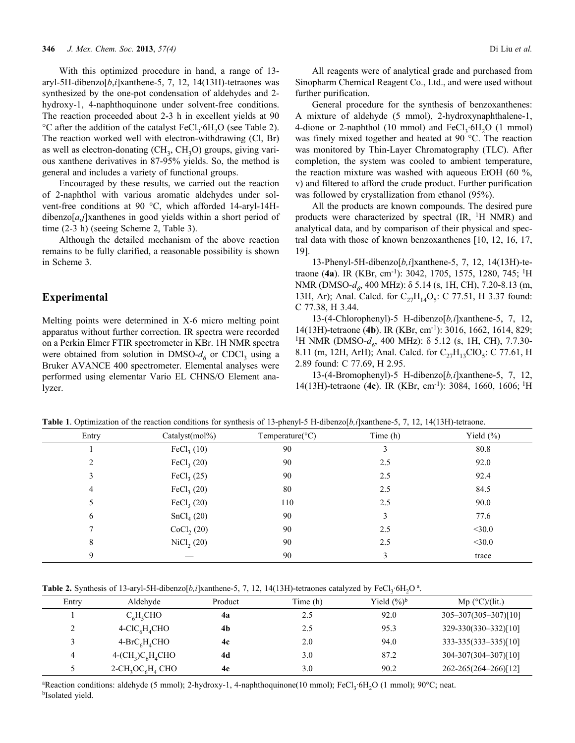With this optimized procedure in hand, a range of 13 aryl-5H-dibenzo[*b*,*i*]xanthene-5, 7, 12, 14(13H)-tetraones was synthesized by the one-pot condensation of aldehydes and 2 hydroxy-1, 4-naphthoquinone under solvent-free conditions. The reaction proceeded about 2-3 h in excellent yields at 90 °C after the addition of the catalyst  $FeCl<sub>3</sub>·6H<sub>2</sub>O$  (see Table 2). The reaction worked well with electron-withdrawing (Cl, Br) as well as electron-donating  $(CH_3, CH_3O)$  groups, giving various xanthene derivatives in 87-95% yields. So, the method is general and includes a variety of functional groups.

Encouraged by these results, we carried out the reaction of 2-naphthol with various aromatic aldehydes under solvent-free conditions at 90 °C, which afforded 14-aryl-14Hdibenzo[*a,j*]xanthenes in good yields within a short period of time (2-3 h) (seeing Scheme 2, Table 3).

Although the detailed mechanism of the above reaction remains to be fully clarified, a reasonable possibility is shown in Scheme 3.

#### **Experimental**

Melting points were determined in X-6 micro melting point apparatus without further correction. IR spectra were recorded on a Perkin Elmer FTIR spectrometer in KBr. 1H NMR spectra were obtained from solution in DMSO- $d<sub>6</sub>$  or CDCl<sub>3</sub> using a Bruker AVANCE 400 spectrometer. Elemental analyses were performed using elementar Vario EL CHNS/O Element analyzer.

All reagents were of analytical grade and purchased from Sinopharm Chemical Reagent Co., Ltd., and were used without further purification.

General procedure for the synthesis of benzoxanthenes: A mixture of aldehyde (5 mmol), 2-hydroxynaphthalene-1, 4-dione or 2-naphthol (10 mmol) and  $FeCl<sub>3</sub>·6H<sub>2</sub>O$  (1 mmol) was finely mixed together and heated at 90 °C. The reaction was monitored by Thin-Layer Chromatography (TLC). After completion, the system was cooled to ambient temperature, the reaction mixture was washed with aqueous EtOH (60 %, v) and filtered to afford the crude product. Further purification was followed by crystallization from ethanol (95%).

All the products are known compounds. The desired pure products were characterized by spectral (IR, 1H NMR) and analytical data, and by comparison of their physical and spectral data with those of known benzoxanthenes [10, 12, 16, 17, 19].

13-Phenyl-5H-dibenzo[*b,i*]xanthene-5, 7, 12, 14(13H)-tetraone (**4a**). IR (KBr, cm-1): 3042, 1705, 1575, 1280, 745; 1H NMR (DMSO-d<sub>6</sub>, 400 MHz): δ 5.14 (s, 1H, CH), 7.20-8.13 (m, 13H, Ar); Anal. Calcd. for  $C_{27}H_{14}O_5$ : C 77.51, H 3.37 found: C 77.38, H 3.44.

13-(4-Chlorophenyl)-5 H-dibenzo[*b,i*]xanthene-5, 7, 12, 14(13H)-tetraone (**4b**). IR (KBr, cm-1): 3016, 1662, 1614, 829; <sup>1</sup>H NMR (DMSO-d<sub>6</sub>, 400 MHz): δ 5.12 (s, 1H, CH), 7.7.30-8.11 (m, 12H, ArH); Anal. Calcd. for  $C_{27}H_{13}ClO_5$ : C 77.61, H 2.89 found: C 77.69, H 2.95.

13-(4-Bromophenyl)-5 H-dibenzo[*b,i*]xanthene-5, 7, 12, 14(13H)-tetraone (**4c**). IR (KBr, cm-1): 3084, 1660, 1606; 1H

| Entry | Catalyst(mol%)         | Temperature( ${}^{\circ}$ C) | Time (h) | Yield $(\% )$ |
|-------|------------------------|------------------------------|----------|---------------|
|       | FeCl <sub>3</sub> (10) | 90                           | 3        | 80.8          |
|       | FeCl <sub>3</sub> (20) | 90                           | 2.5      | 92.0          |
|       | FeCl <sub>3</sub> (25) | 90                           | 2.5      | 92.4          |
| 4     | FeCl <sub>3</sub> (20) | 80                           | 2.5      | 84.5          |
|       | FeCl <sub>3</sub> (20) | 110                          | 2.5      | 90.0          |
| 6     | SnCl <sub>4</sub> (20) | 90                           | 3        | 77.6          |
|       | CoCl <sub>2</sub> (20) | 90                           | 2.5      | $<$ 30.0      |
| 8     | $\text{NiCl}_2(20)$    | 90                           | 2.5      | $<$ 30.0      |
| 9     |                        | 90                           | 3        | trace         |

**Table 1**. Optimization of the reaction conditions for synthesis of 13-phenyl-5 H-dibenzo[*b,i*]xanthene-5, 7, 12, 14(13H)-tetraone.

**Table 2.** Synthesis of 13-aryl-5H-dibenzo $[b,i]$ xanthene-5, 7, 12, 14(13H)-tetraones catalyzed by FeCl<sub>3</sub>·6H<sub>2</sub>O<sup>a</sup>.

| Entry | Aldehyde                                                | Product | Time (h) | Yield $(\frac{9}{6})^b$ | Mp $(^{\circ}C)/(lit.)$    |
|-------|---------------------------------------------------------|---------|----------|-------------------------|----------------------------|
|       | $C_6H_5CHO$                                             | 4a      | 2.5      | 92.0                    | $305 - 307(305 - 307)[10]$ |
| ∠     | $4-CIC6H4CHO$                                           | 4b      | 2.5      | 95.3                    | 329-330(330-332)[10]       |
|       | $4-BrC6H4CHO$                                           | 4c      | 2.0      | 94.0                    | 333-335(333–335)[10]       |
| 4     | $4-(CH_3)C_6H_4CHO$                                     | 4d      | 3.0      | 87.2                    | 304-307(304-307)[10]       |
|       | $2$ -CH <sub>3</sub> OC <sub>6</sub> H <sub>4</sub> CHO | 4e      | 3.0      | 90.2                    | 262-265(264-266)[12]       |

<sup>a</sup>Reaction conditions: aldehyde (5 mmol); 2-hydroxy-1, 4-naphthoquinone(10 mmol); FeCl<sub>3</sub>·6H<sub>2</sub>O (1 mmol); 90°C; neat.<br><sup>b</sup>Isolated yield.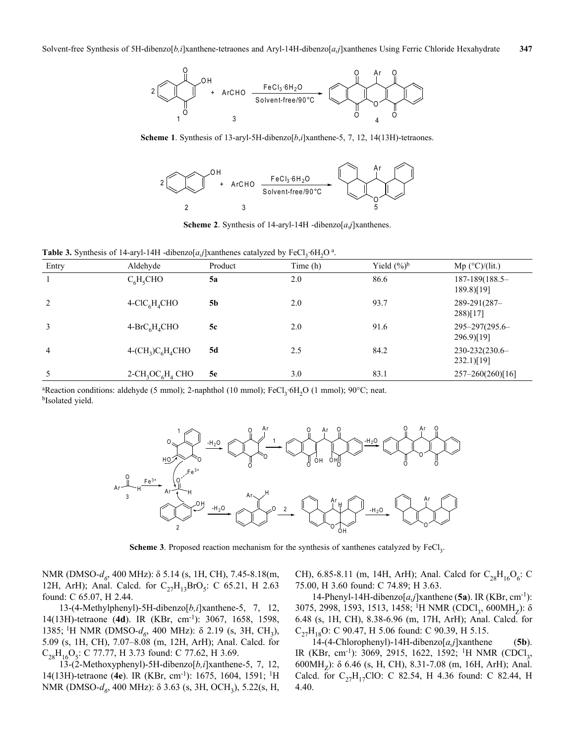

Scheme 1. Synthesis of 13-aryl-5H-dibenzo[*b*,*i*]xanthene-5, 7, 12, 14(13H)-tetraones.



**Scheme 2**. Synthesis of 14-aryl-14H -dibenzo[*a*,*j*]xanthenes.

**Table 3.** Synthesis of 14-aryl-14H -dibenzo $[a, j]$ xanthenes catalyzed by FeCl<sub>3</sub>·6H<sub>2</sub>O<sup>a</sup>.

| Entry          | .<br>Aldehyde                                           | -<br>Product | $\rightarrow$<br>$\mathcal{L}$<br>Time (h) | Yield $(\frac{9}{6})^b$ | $Mp$ (°C)/(lit.)               |
|----------------|---------------------------------------------------------|--------------|--------------------------------------------|-------------------------|--------------------------------|
|                | $C_6H_5CHO$                                             | <b>5a</b>    | 2.0                                        | 86.6                    | 187-189(188.5-<br>189.8)[19]   |
| 2              | $4-CIC6H4CHO$                                           | 5b           | 2.0                                        | 93.7                    | 289-291(287-<br>$288$ [17]     |
| 3              | $4-BrC6H4CHO$                                           | 5c           | 2.0                                        | 91.6                    | 295-297(295.6-<br>296.9)[19]   |
| $\overline{4}$ | $4-(CH_3)C_6H_4CHO$                                     | 5d           | 2.5                                        | 84.2                    | 230-232(230.6-<br>$232.1$ [19] |
| 5              | $2$ -CH <sub>3</sub> OC <sub>6</sub> H <sub>4</sub> CHO | 5e           | 3.0                                        | 83.1                    | $257 - 260(260)[16]$           |

<sup>a</sup>Reaction conditions: aldehyde (5 mmol); 2-naphthol (10 mmol); FeCl<sub>3</sub>·6H<sub>2</sub>O (1 mmol); 90°C; neat.<br><sup>b</sup>Isolated yield.



**Scheme 3**. Proposed reaction mechanism for the synthesis of xanthenes catalyzed by FeCl<sub>3</sub>.

NMR (DMSO-d<sub>6</sub>, 400 MHz): δ 5.14 (s, 1H, CH), 7.45-8.18(m, 12H, ArH); Anal. Calcd. for  $C_{27}H_{13}BrO_5$ : C 65.21, H 2.63 found: C 65.07, H 2.44.

13-(4-Methylphenyl)-5H-dibenzo[*b,i*]xanthene-5, 7, 12, 14(13H)-tetraone (**4d**). IR (KBr, cm-1): 3067, 1658, 1598, 1385; <sup>1</sup>H NMR (DMSO-d<sub>6</sub>, 400 MHz): δ 2.19 (s, 3H, CH<sub>3</sub>), 5.09 (s, 1H, CH), 7.07–8.08 (m, 12H, ArH); Anal. Calcd. for  $C_{28}H_{16}O_5$ : C 77.77, H 3.73 found: C 77.62, H 3.69.

13-(2-Methoxyphenyl)-5H-dibenzo[*b,i*]xanthene-5, 7, 12, 14(13H)-tetraone (**4e**). IR (KBr, cm-1): 1675, 1604, 1591; 1H NMR (DMSO-*d<sub>6</sub>*, 400 MHz): δ 3.63 (s, 3H, OCH<sub>3</sub>), 5.22(s, H, CH), 6.85-8.11 (m, 14H, ArH); Anal. Calcd for  $C_{28}H_{16}O_6$ : C 75.00, H 3.60 found: C 74.89; H 3.63.

14-Phenyl-14H-dibenzo[*a,j*]xanthene (**5a**). IR (KBr, cm-1): 3075, 2998, 1593, 1513, 1458; <sup>1</sup>H NMR (CDCl<sub>3</sub>, 600MH<sub>7</sub>): δ 6.48 (s, 1H, CH), 8.38-6.96 (m, 17H, ArH); Anal. Calcd. for  $C_{27}H_{18}O$ : C 90.47, H 5.06 found: C 90.39, H 5.15.

14-(4-Chlorophenyl)-14H-dibenzo[*a,j*]xanthene (**5b**). IR (KBr, cm<sup>-1</sup>): 3069, 2915, 1622, 1592; <sup>1</sup>H NMR (CDCl<sub>3</sub>, 600MH<sub>z</sub>):  $\delta$  6.46 (s, H, CH), 8.31-7.08 (m, 16H, ArH); Anal. Calcd. for  $C_{27}H_{17}ClO$ : C 82.54, H 4.36 found: C 82.44, H 4.40.